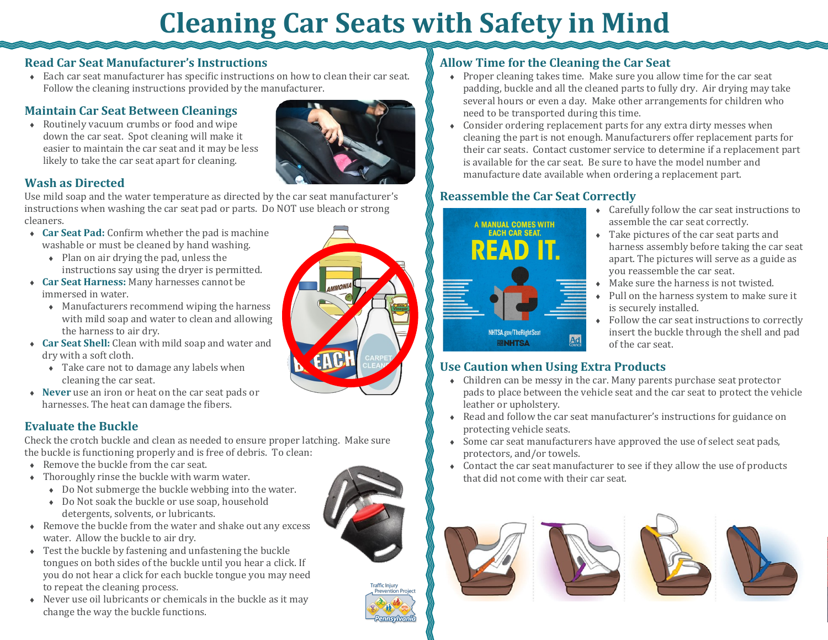# **Cleaning Car Seats with Safety in Mind**

#### **Read Car Seat Manufacturer's Instructions**

 Each car seat manufacturer has specific instructions on how to clean their car seat. Follow the cleaning instructions provided by the manufacturer.

### **Maintain Car Seat Between Cleanings**

 Routinely vacuum crumbs or food and wipe down the car seat. Spot cleaning will make it easier to maintain the car seat and it may be less likely to take the car seat apart for cleaning.



#### **Wash as Directed**

Use mild soap and the water temperature as directed by the car seat manufacturer's instructions when washing the car seat pad or parts. Do NOT use bleach or strong cleaners.

- **Car Seat Pad:** Confirm whether the pad is machine washable or must be cleaned by hand washing.
	- $\bullet$  Plan on air drying the pad, unless the instructions say using the dryer is permitted.
- **Car Seat Harness:** Many harnesses cannot be immersed in water.
	- Manufacturers recommend wiping the harness with mild soap and water to clean and allowing the harness to air dry.
- **Car Seat Shell:** Clean with mild soap and water and dry with a soft cloth.
	- Take care not to damage any labels when cleaning the car seat.
- **Never** use an iron or heat on the car seat pads or harnesses. The heat can damage the fibers.

### **Evaluate the Buckle**

Check the crotch buckle and clean as needed to ensure proper latching. Make sure the buckle is functioning properly and is free of debris. To clean:

- ◆ Remove the buckle from the car seat.
- Thoroughly rinse the buckle with warm water.
	- Do Not submerge the buckle webbing into the water.
	- Do Not soak the buckle or use soap, household
- detergents, solvents, or lubricants. Remove the buckle from the water and shake out any excess water. Allow the buckle to air dry.
- Test the buckle by fastening and unfastening the buckle tongues on both sides of the buckle until you hear a click. If you do not hear a click for each buckle tongue you may need to repeat the cleaning process.
- $\triangle$  Never use oil lubricants or chemicals in the buckle as it may change the way the buckle functions.



### **Allow Time for the Cleaning the Car Seat**

- Proper cleaning takes time. Make sure you allow time for the car seat padding, buckle and all the cleaned parts to fully dry. Air drying may take several hours or even a day. Make other arrangements for children who need to be transported during this time.
- Consider ordering replacement parts for any extra dirty messes when cleaning the part is not enough. Manufacturers offer replacement parts for their car seats. Contact customer service to determine if a replacement part is available for the car seat. Be sure to have the model number and manufacture date available when ordering a replacement part.

## **Reassemble the Car Seat Correctly**



- Carefully follow the car seat instructions to assemble the car seat correctly.
- Take pictures of the car seat parts and harness assembly before taking the car seat apart. The pictures will serve as a guide as you reassemble the car seat.
- Make sure the harness is not twisted.
- Pull on the harness system to make sure it is securely installed.
- Follow the car seat instructions to correctly insert the buckle through the shell and pad of the car seat.

### **Use Caution when Using Extra Products**

- Children can be messy in the car. Many parents purchase seat protector pads to place between the vehicle seat and the car seat to protect the vehicle leather or upholstery.
- Read and follow the car seat manufacturer's instructions for guidance on protecting vehicle seats.
- Some car seat manufacturers have approved the use of select seat pads, protectors, and/or towels.
- Contact the car seat manufacturer to see if they allow the use of products that did not come with their car seat.